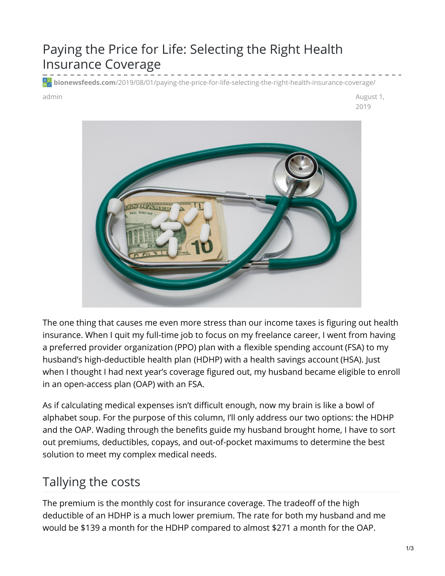## Paying the Price for Life: Selecting the Right Health Insurance Coverage

**bionewsfeeds.com**[/2019/08/01/paying-the-price-for-life-selecting-the-right-health-insurance-coverage/](https://bionewsfeeds.com/2019/08/01/paying-the-price-for-life-selecting-the-right-health-insurance-coverage/)

admin August 1, 2019



The one thing that causes me even more stress than our income taxes is figuring out health insurance. When I quit my full-time job to focus on my freelance career, I went from having a preferred provider [organization](https://www.healthcare.gov/glossary/preferred-provider-organization-ppo/) (PPO) plan with a flexible [spending](https://www.healthcare.gov/have-job-based-coverage/flexible-spending-accounts/) account (FSA) to my husband's [high-deductible](https://www.healthcare.gov/glossary/high-deductible-health-plan/) health plan (HDHP) with a health savings [account](https://www.healthcare.gov/glossary/health-savings-account-hsa/) (HSA). Just when I thought I had next year's coverage figured out, my husband became eligible to enroll in an open-access plan (OAP) with an FSA.

As if calculating medical expenses isn't difficult enough, now my brain is like a bowl of alphabet soup. For the purpose of this column, I'll only address our two options: the HDHP and the OAP. Wading through the benefits guide my husband brought home, I have to sort out premiums, deductibles, copays, and out-of-pocket maximums to determine the best solution to meet my complex medical needs.

## Tallying the costs

The [premium](https://www.healthcare.gov/glossary/premium/) is the monthly cost for insurance coverage. The tradeoff of the high deductible of an HDHP is a much lower premium. The rate for both my husband and me would be \$139 a month for the HDHP compared to almost \$271 a month for the OAP.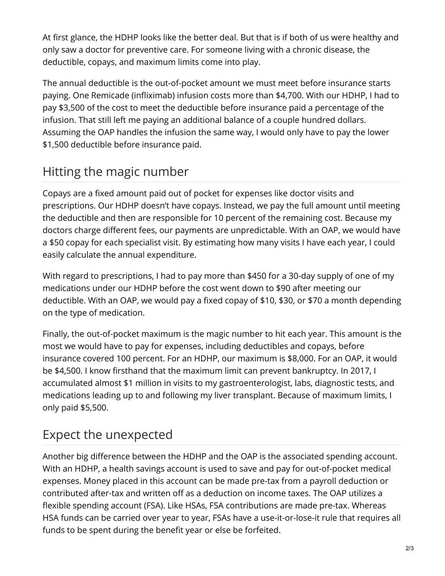At first glance, the HDHP looks like the better deal. But that is if both of us were healthy and only saw a doctor for preventive care. For someone living with a chronic disease, the deductible, copays, and maximum limits come into play.

The annual [deductible](https://www.healthcare.gov/glossary/deductible/) is the out-of-pocket amount we must meet before insurance starts paying. One Remicade [\(infliximab\)](https://www.remicade.com/crohns-disease) infusion costs more than \$4,700. With our HDHP, I had to pay \$3,500 of the cost to meet the deductible before insurance paid a percentage of the infusion. That still left me paying an additional balance of a couple hundred dollars. Assuming the OAP handles the infusion the same way, I would only have to pay the lower \$1,500 deductible before insurance paid.

## Hitting the magic number

[Copays](https://www.healthcare.gov/glossary/co-payment/) are a fixed amount paid out of pocket for expenses like doctor visits and prescriptions. Our HDHP doesn't have copays. Instead, we pay the full amount until meeting the deductible and then are responsible for 10 percent of the remaining cost. Because my doctors charge different fees, our payments are unpredictable. With an OAP, we would have a \$50 copay for each specialist visit. By estimating how many visits I have each year, I could easily calculate the annual expenditure.

With regard to prescriptions, I had to pay more than \$450 for a 30-day supply of one of my medications under our HDHP before the cost went down to \$90 after meeting our deductible. With an OAP, we would pay a fixed copay of \$10, \$30, or \$70 a month depending on the type of medication.

Finally, the [out-of-pocket](https://www.healthcare.gov/glossary/out-of-pocket-maximum-limit/) maximum is the magic number to hit each year. This amount is the most we would have to pay for expenses, including deductibles and copays, before insurance covered 100 percent. For an HDHP, our maximum is \$8,000. For an OAP, it would be \$4,500. I know firsthand that the maximum limit can prevent bankruptcy. In 2017, I accumulated almost \$1 million in visits to my gastroenterologist, labs, diagnostic tests, and medications leading up to and following my liver transplant. Because of maximum limits, I only paid \$5,500.

## Expect the unexpected

Another big difference between the HDHP and the OAP is the associated spending account. With an HDHP, a health savings account is used to save and pay for out-of-pocket medical expenses. Money placed in this account can be made pre-tax from a payroll deduction or contributed after-tax and written off as a deduction on income taxes. The OAP utilizes a flexible spending account (FSA). Like HSAs, FSA contributions are made pre-tax. Whereas HSA funds can be carried over year to year, FSAs have a use-it-or-lose-it rule that requires all funds to be spent during the benefit year or else be forfeited.